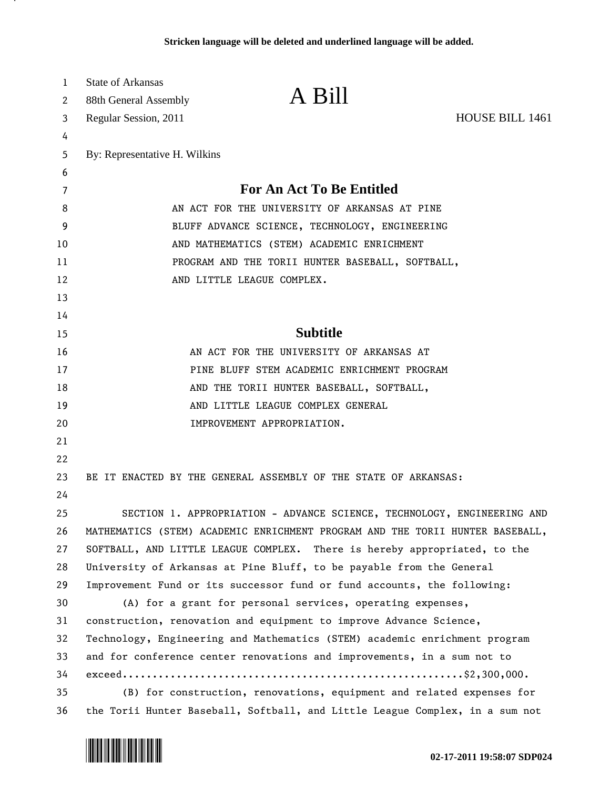| 1  | <b>State of Arkansas</b>                         |                                                                               |                 |
|----|--------------------------------------------------|-------------------------------------------------------------------------------|-----------------|
| 2  | 88th General Assembly                            | A Bill                                                                        |                 |
| 3  | Regular Session, 2011                            |                                                                               | HOUSE BILL 1461 |
| 4  |                                                  |                                                                               |                 |
| 5  | By: Representative H. Wilkins                    |                                                                               |                 |
| 6  |                                                  |                                                                               |                 |
| 7  |                                                  | <b>For An Act To Be Entitled</b>                                              |                 |
| 8  | AN ACT FOR THE UNIVERSITY OF ARKANSAS AT PINE    |                                                                               |                 |
| 9  | BLUFF ADVANCE SCIENCE, TECHNOLOGY, ENGINEERING   |                                                                               |                 |
| 10 | AND MATHEMATICS (STEM) ACADEMIC ENRICHMENT       |                                                                               |                 |
| 11 | PROGRAM AND THE TORII HUNTER BASEBALL, SOFTBALL, |                                                                               |                 |
| 12 |                                                  | AND LITTLE LEAGUE COMPLEX.                                                    |                 |
| 13 |                                                  |                                                                               |                 |
| 14 |                                                  |                                                                               |                 |
| 15 |                                                  | <b>Subtitle</b>                                                               |                 |
| 16 |                                                  | AN ACT FOR THE UNIVERSITY OF ARKANSAS AT                                      |                 |
| 17 |                                                  | PINE BLUFF STEM ACADEMIC ENRICHMENT PROGRAM                                   |                 |
| 18 |                                                  | AND THE TORII HUNTER BASEBALL, SOFTBALL,                                      |                 |
| 19 |                                                  | AND LITTLE LEAGUE COMPLEX GENERAL                                             |                 |
| 20 |                                                  | IMPROVEMENT APPROPRIATION.                                                    |                 |
| 21 |                                                  |                                                                               |                 |
| 22 |                                                  |                                                                               |                 |
| 23 |                                                  | BE IT ENACTED BY THE GENERAL ASSEMBLY OF THE STATE OF ARKANSAS:               |                 |
| 24 |                                                  |                                                                               |                 |
| 25 |                                                  | SECTION 1. APPROPRIATION - ADVANCE SCIENCE, TECHNOLOGY, ENGINEERING AND       |                 |
| 26 |                                                  | MATHEMATICS (STEM) ACADEMIC ENRICHMENT PROGRAM AND THE TORII HUNTER BASEBALL, |                 |
| 27 |                                                  | SOFTBALL, AND LITTLE LEAGUE COMPLEX. There is hereby appropriated, to the     |                 |
| 28 |                                                  | University of Arkansas at Pine Bluff, to be payable from the General          |                 |
| 29 |                                                  | Improvement Fund or its successor fund or fund accounts, the following:       |                 |
| 30 |                                                  | (A) for a grant for personal services, operating expenses,                    |                 |
| 31 |                                                  | construction, renovation and equipment to improve Advance Science,            |                 |
| 32 |                                                  | Technology, Engineering and Mathematics (STEM) academic enrichment program    |                 |
| 33 |                                                  | and for conference center renovations and improvements, in a sum not to       |                 |
| 34 |                                                  | $exceed.\dots\dots\dots\dots\dots\dots\dots\$                                 |                 |
| 35 |                                                  | (B) for construction, renovations, equipment and related expenses for         |                 |
| 36 |                                                  | the Torii Hunter Baseball, Softball, and Little League Complex, in a sum not  |                 |



л.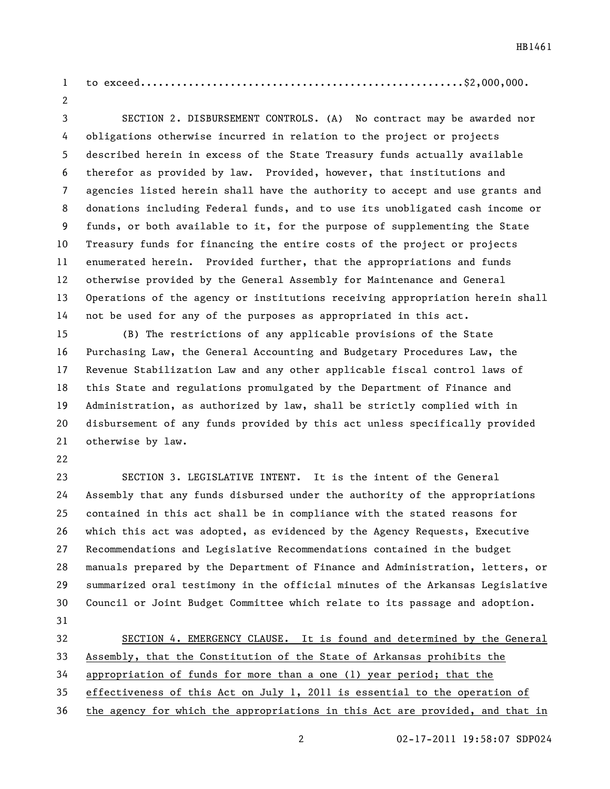to exceed......................................................\$2,000,000. 

 SECTION 2. DISBURSEMENT CONTROLS. (A) No contract may be awarded nor obligations otherwise incurred in relation to the project or projects described herein in excess of the State Treasury funds actually available therefor as provided by law. Provided, however, that institutions and agencies listed herein shall have the authority to accept and use grants and donations including Federal funds, and to use its unobligated cash income or funds, or both available to it, for the purpose of supplementing the State Treasury funds for financing the entire costs of the project or projects enumerated herein. Provided further, that the appropriations and funds otherwise provided by the General Assembly for Maintenance and General Operations of the agency or institutions receiving appropriation herein shall not be used for any of the purposes as appropriated in this act.

 (B) The restrictions of any applicable provisions of the State Purchasing Law, the General Accounting and Budgetary Procedures Law, the Revenue Stabilization Law and any other applicable fiscal control laws of this State and regulations promulgated by the Department of Finance and Administration, as authorized by law, shall be strictly complied with in disbursement of any funds provided by this act unless specifically provided otherwise by law.

 SECTION 3. LEGISLATIVE INTENT. It is the intent of the General Assembly that any funds disbursed under the authority of the appropriations contained in this act shall be in compliance with the stated reasons for which this act was adopted, as evidenced by the Agency Requests, Executive Recommendations and Legislative Recommendations contained in the budget manuals prepared by the Department of Finance and Administration, letters, or summarized oral testimony in the official minutes of the Arkansas Legislative Council or Joint Budget Committee which relate to its passage and adoption. 

 SECTION 4. EMERGENCY CLAUSE. It is found and determined by the General Assembly, that the Constitution of the State of Arkansas prohibits the appropriation of funds for more than a one (1) year period; that the effectiveness of this Act on July 1, 2011 is essential to the operation of

the agency for which the appropriations in this Act are provided, and that in

02-17-2011 19:58:07 SDP024